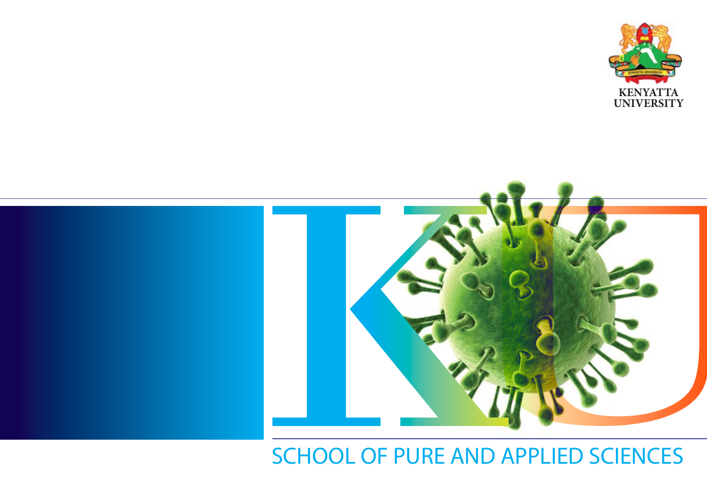



### SCHOOL OF PURE AND APPLIED SCIENCES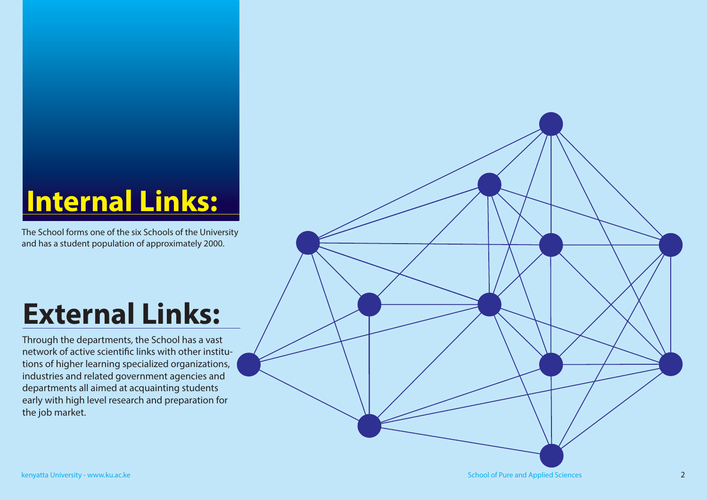# **Internal Links:**

The School forms one of the six Schools of the University and has a student population of approximately 2000.

## **External Links:**

Through the departments, the School has a vast network of active scientific links with other institutions of higher learning specialized organizations, industries and related government agencies and departments all aimed at acquainting students early with high level research and preparation for the job market.

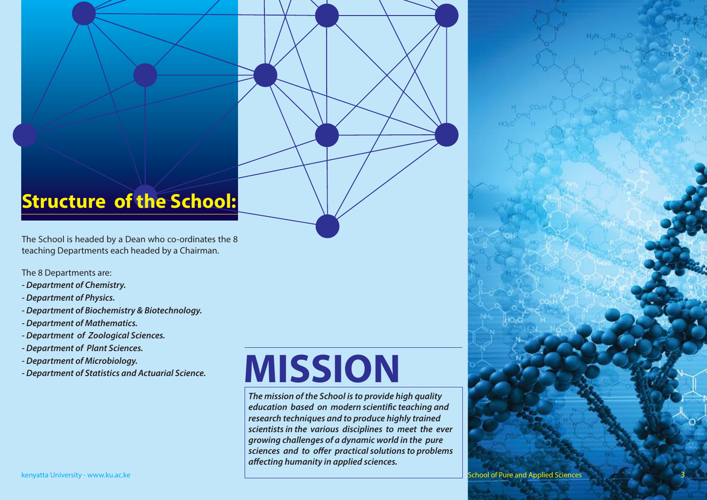### **Structure of the School:**

The School is headed by a Dean who co-ordinates the 8 teaching Departments each headed by a Chairman.

The 8 Departments are:

- *Department of Chemistry.*
- *Department of Physics.*
- *Department of Biochemistry & Biotechnology.*
- *Department of Mathematics.*
- *Department of Zoological Sciences.*
- *Department of Plant Sciences.*
- *Department of Microbiology.*
- *Department of Statistics and Actuarial Science.*

# **MISSION**

*The mission of the School is to provide high quality education based on modern scientific teaching and research techniques and to produce highly trained scientists in the various disciplines to meet the ever growing challenges of a dynamic world in the pure*  sciences and to offer practical solutions to problems *affecting humanity in applied sciences.*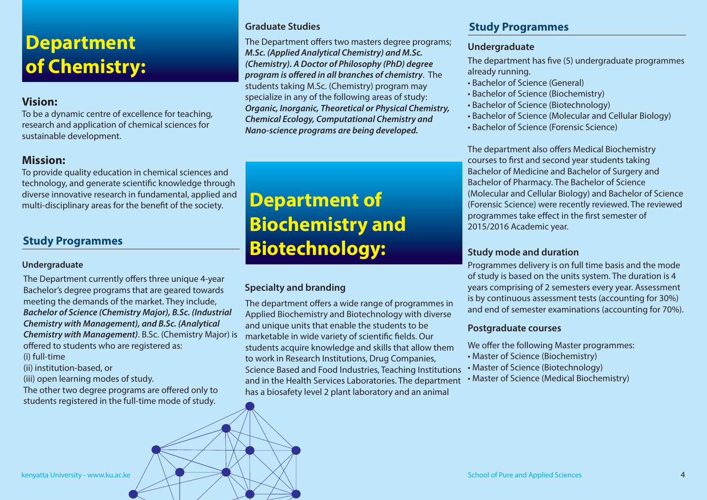### **Department of Chemistry:**

### **Vision:**

To be a dynamic centre of excellence for teaching, research and application of chemical sciences for sustainable development.

### **Mission:**

To provide quality education in chemical sciences and technology, and generate scientific knowledge through diverse innovative research in fundamental, applied and multi-disciplinary areas for the benefit of the society.

### **Study Programmes**

### **Undergraduate**

The Department currently offers three unique 4-year Bachelor's degree programs that are geared towards meeting the demands of the market. They include, *Bachelor of Science (Chemistry Major), B.Sc. (Industrial Chemistry with Management), and B.Sc. (Analytical Chemistry with Management)*. B.Sc. (Chemistry Major) is offered to students who are registered as: (i) full-time (ii) institution-based, or

(iii) open learning modes of study.

The other two degree programs are offered only to students registered in the full-time mode of study.

### **Graduate Studies**

The Department offers two masters degree programs; *M.Sc. (Applied Analytical Chemistry) and M.Sc. (Chemistry). A Doctor of Philosophy (PhD) degree program is offered in all branches of chemistry.* **The** students taking M.Sc. (Chemistry) program may specialize in any of the following areas of study: *Organic, Inorganic, Theoretical or Physical Chemistry, Chemical Ecology, Computational Chemistry and Nano-science programs are being developed.*

### **Department of Biochemistry and Biotechnology:**

### **Specialty and branding**

The department offers a wide range of programmes in Applied Biochemistry and Biotechnology with diverse and unique units that enable the students to be marketable in wide variety of scientific fields. Our students acquire knowledge and skills that allow them to work in Research Institutions, Drug Companies, Science Based and Food Industries, Teaching Institutions and in the Health Services Laboratories. The department has a biosafety level 2 plant laboratory and an animal

### **Study Programmes**

### **Undergraduate**

The department has five (5) undergraduate programmes already running.

- Bachelor of Science (General)
- Bachelor of Science (Biochemistry)
- Bachelor of Science (Biotechnology)
- Bachelor of Science (Molecular and Cellular Biology)
- Bachelor of Science (Forensic Science)

The department also offers Medical Biochemistry courses to first and second year students taking Bachelor of Medicine and Bachelor of Surgery and Bachelor of Pharmacy. The Bachelor of Science (Molecular and Cellular Biology) and Bachelor of Science (Forensic Science) were recently reviewed. The reviewed programmes take effect in the first semester of 2015/2016 Academic year.

### **Study mode and duration**

Programmes delivery is on full time basis and the mode of study is based on the units system. The duration is 4 years comprising of 2 semesters every year. Assessment is by continuous assessment tests (accounting for 30%) and end of semester examinations (accounting for 70%).

### **Postgraduate courses**

We offer the following Master programmes:

- Master of Science (Biochemistry)
- Master of Science (Biotechnology)

• Master of Science (Medical Biochemistry)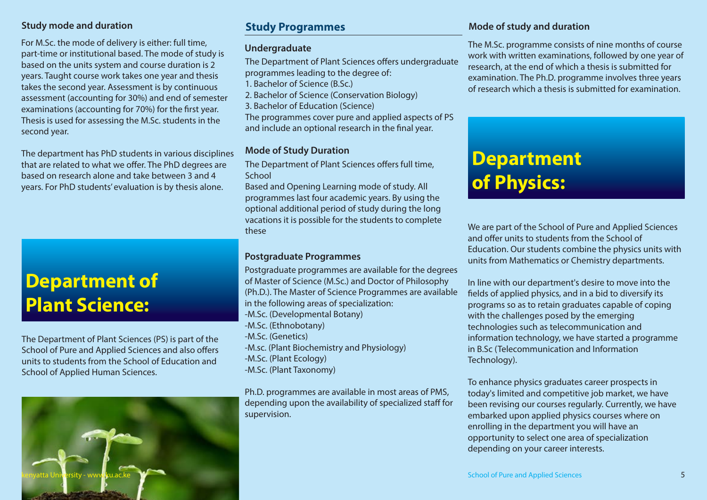### **Study mode and duration**

For M.Sc. the mode of delivery is either: full time, part-time or institutional based. The mode of study is based on the units system and course duration is 2 years. Taught course work takes one year and thesis takes the second year. Assessment is by continuous assessment (accounting for 30%) and end of semester examinations (accounting for 70%) for the first year. Thesis is used for assessing the M.Sc. students in the second year.

The department has PhD students in various disciplines that are related to what we offer. The PhD degrees are based on research alone and take between 3 and 4 years. For PhD students' evaluation is by thesis alone.

### **Department of Plant Science:**

The Department of Plant Sciences (PS) is part of the School of Pure and Applied Sciences and also offers units to students from the School of Education and School of Applied Human Sciences.



### **Study Programmes**

#### **Undergraduate**

The Department of Plant Sciences offers undergraduate programmes leading to the degree of:

- 1. Bachelor of Science (B.Sc.)
- 2. Bachelor of Science (Conservation Biology)
- 3. Bachelor of Education (Science)

The programmes cover pure and applied aspects of PS and include an optional research in the final year.

#### **Mode of Study Duration**

The Department of Plant Sciences offers full time, **School** 

Based and Opening Learning mode of study. All programmes last four academic years. By using the optional additional period of study during the long vacations it is possible for the students to complete these

### **Postgraduate Programmes**

Postgraduate programmes are available for the degrees of Master of Science (M.Sc.) and Doctor of Philosophy (Ph.D.). The Master of Science Programmes are available in the following areas of specialization: -M.Sc. (Developmental Botany) -M.Sc. (Ethnobotany) -M.Sc. (Genetics) -M.sc. (Plant Biochemistry and Physiology) -M.Sc. (Plant Ecology) -M.Sc. (Plant Taxonomy)

Ph.D. programmes are available in most areas of PMS, depending upon the availability of specialized staff for supervision.

### **Mode of study and duration**

The M.Sc. programme consists of nine months of course work with written examinations, followed by one year of research, at the end of which a thesis is submitted for examination. The Ph.D. programme involves three years of research which a thesis is submitted for examination.

### **Department of Physics:**

We are part of the School of Pure and Applied Sciences and offer units to students from the School of Education. Our students combine the physics units with units from Mathematics or Chemistry departments.

In line with our department's desire to move into the fields of applied physics, and in a bid to diversify its programs so as to retain graduates capable of coping with the challenges posed by the emerging technologies such as telecommunication and information technology, we have started a programme in B.Sc (Telecommunication and Information Technology).

To enhance physics graduates career prospects in today's limited and competitive job market, we have been revising our courses regularly. Currently, we have embarked upon applied physics courses where on enrolling in the department you will have an opportunity to select one area of specialization depending on your career interests.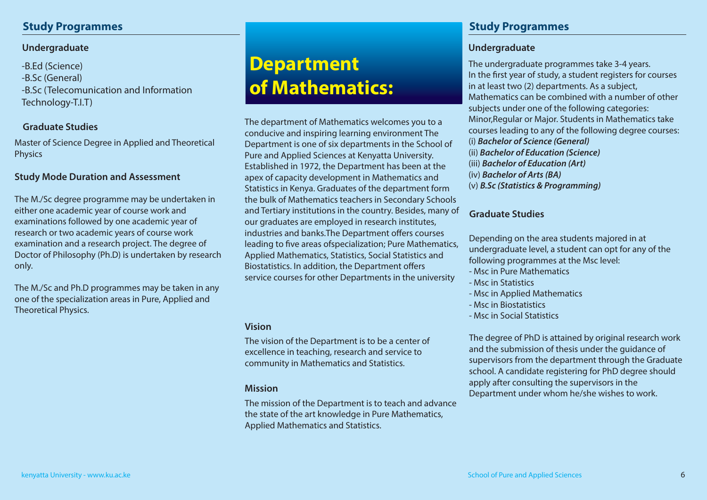### **Study Programmes**

#### **Undergraduate**

-B.Ed (Science) -B.Sc (General) -B.Sc (Telecomunication and Information Technology-T.I.T)

#### **Graduate Studies**

Master of Science Degree in Applied and Theoretical Physics

#### **Study Mode Duration and Assessment**

The M./Sc degree programme may be undertaken in either one academic year of course work and examinations followed by one academic year of research or two academic years of course work examination and a research project. The degree of Doctor of Philosophy (Ph.D) is undertaken by research only.

The M./Sc and Ph.D programmes may be taken in any one of the specialization areas in Pure, Applied and Theoretical Physics.

### **Department of Mathematics:**

The department of Mathematics welcomes you to a conducive and inspiring learning environment The Department is one of six departments in the School of Pure and Applied Sciences at Kenyatta University. Established in 1972, the Department has been at the apex of capacity development in Mathematics and Statistics in Kenya. Graduates of the department form the bulk of Mathematics teachers in Secondary Schools and Tertiary institutions in the country. Besides, many of our graduates are employed in research institutes, industries and banks. The Department offers courses leading to five areas ofspecialization; Pure Mathematics, Applied Mathematics, Statistics, Social Statistics and Biostatistics. In addition, the Department offers service courses for other Departments in the university

#### **Vision**

The vision of the Department is to be a center of excellence in teaching, research and service to community in Mathematics and Statistics.

#### **Mission**

The mission of the Department is to teach and advance the state of the art knowledge in Pure Mathematics, Applied Mathematics and Statistics.

### **Study Programmes**

### **Undergraduate**

The undergraduate programmes take 3-4 years. In the first year of study, a student registers for courses in at least two (2) departments. As a subject, Mathematics can be combined with a number of other subjects under one of the following categories: Minor,Regular or Major. Students in Mathematics take courses leading to any of the following degree courses: (i) *Bachelor of Science (General)* (ii) *Bachelor of Education (Science)* (iii) *Bachelor of Education (Art)* (iv) *Bachelor of Arts (BA)*

(v) *B.Sc (Statistics & Programming)*

#### **Graduate Studies**

Depending on the area students majored in at undergraduate level, a student can opt for any of the following programmes at the Msc level:

- Msc in Pure Mathematics
- Msc in Statistics
- Msc in Applied Mathematics
- Msc in Biostatistics
- Msc in Social Statistics

The degree of PhD is attained by original research work and the submission of thesis under the guidance of supervisors from the department through the Graduate school. A candidate registering for PhD degree should apply after consulting the supervisors in the Department under whom he/she wishes to work.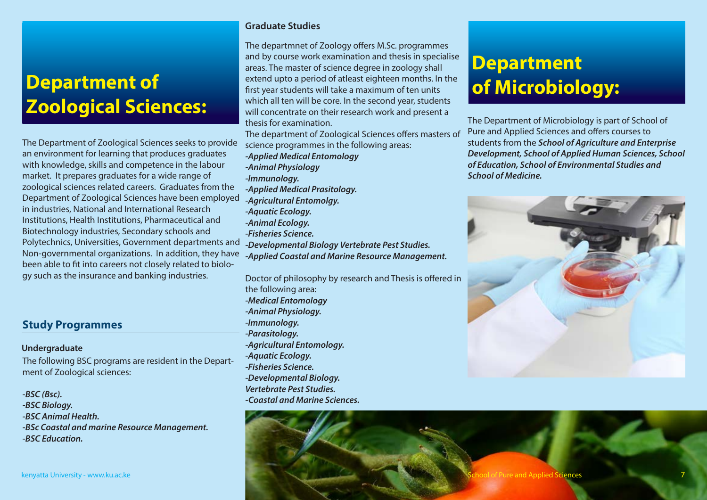### **Department of Zoological Sciences:**

The Department of Zoological Sciences seeks to provide an environment for learning that produces graduates with knowledge, skills and competence in the labour market. It prepares graduates for a wide range of zoological sciences related careers. Graduates from the Department of Zoological Sciences have been employed in industries, National and International Research Institutions, Health Institutions, Pharmaceutical and Biotechnology industries, Secondary schools and Polytechnics, Universities, Government departments and Non-governmental organizations. In addition, they have been able to fit into careers not closely related to biology such as the insurance and banking industries.

### **Study Programmes**

#### **Undergraduate**

The following BSC programs are resident in the Department of Zoological sciences:

-*BSC (Bsc). -BSC Biology. -BSC Animal Health. -BSc Coastal and marine Resource Management. -BSC Education.* 

### **Graduate Studies**

The departmnet of Zoology offers M.Sc. programmes and by course work examination and thesis in specialise areas. The master of science degree in zoology shall extend upto a period of atleast eighteen months. In the first year students will take a maximum of ten units which all ten will be core. In the second year, students will concentrate on their research work and present a thesis for examination.

The department of Zoological Sciences offers masters of science programmes in the following areas: *-Applied Medical Entomology -Animal Physiology -Immunology. -Applied Medical Prasitology. -Agricultural Entomolgy. -Aquatic Ecology. -Animal Ecology. -Fisheries Science. -Developmental Biology Vertebrate Pest Studies. -Applied Coastal and Marine Resource Management.*

Doctor of philosophy by research and Thesis is offered in the following area: *-Medical Entomology -Animal Physiology. -Immunology. -Parasitology. -Agricultural Entomology. -Aquatic Ecology. -Fisheries Science. -Developmental Biology. Vertebrate Pest Studies. -Coastal and Marine Sciences.*

### **Department of Microbiology:**

The Department of Microbiology is part of School of Pure and Applied Sciences and offers courses to students from the *School of Agriculture and Enterprise Development, School of Applied Human Sciences, School of Education, School of Environmental Studies and School of Medicine.*



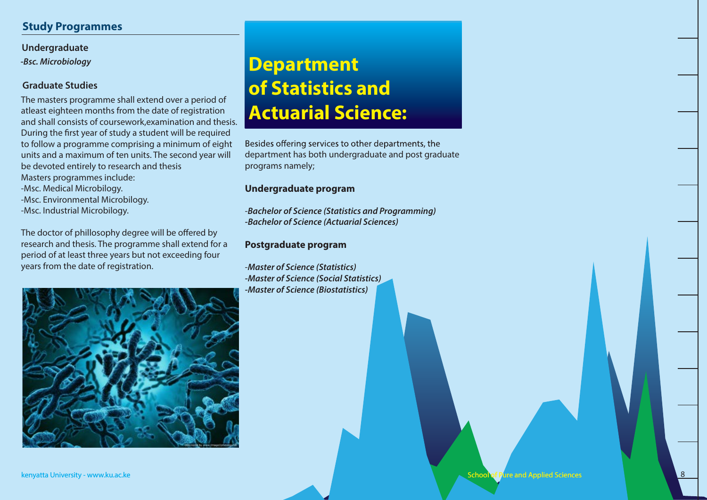### **Study Programmes**

**Undergraduate** *-Bsc. Microbiology*

### **Graduate Studies**

The masters programme shall extend over a period of atleast eighteen months from the date of registration and shall consists of coursework,examination and thesis. During the first year of study a student will be required to follow a programme comprising a minimum of eight units and a maximum of ten units. The second year will be devoted entirely to research and thesis Masters programmes include:

-Msc. Medical Microbilogy.

-Msc. Environmental Microbilogy.

-Msc. Industrial Microbilogy.

The doctor of phillosophy degree will be offered by research and thesis. The programme shall extend for a period of at least three years but not exceeding four years from the date of registration.



### **Department Department of Statistics and of Statistics and Actuarial Science: Actuarial Science:**

Besides offering services to other departments, the department has both undergraduate and post graduate programs namely;

#### **Undergraduate program**

-*Bachelor of Science (Statistics and Programming) -Bachelor of Science (Actuarial Sciences)*

### **Postgraduate program**

-*Master of Science (Statistics) -Master of Science (Social Statistics) -Master of Science (Biostatistics)*